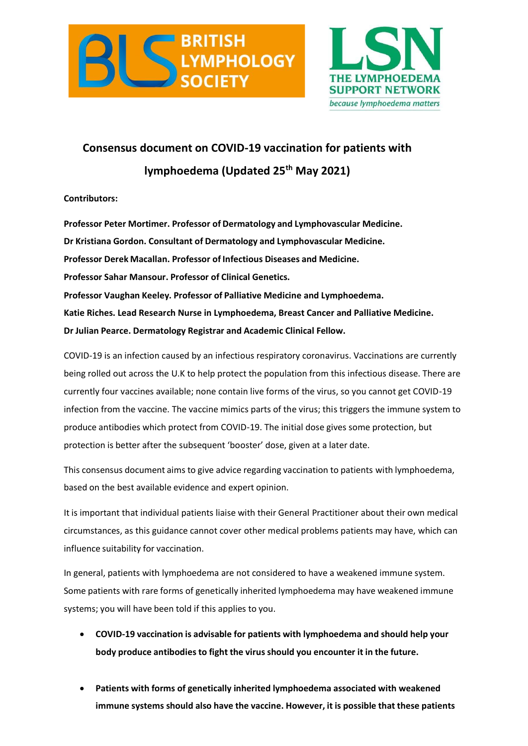



## **Consensus document on COVID-19 vaccination for patients with lymphoedema (Updated 25th May 2021)**

**Contributors:**

**Professor Peter Mortimer. Professor of Dermatology and Lymphovascular Medicine. Dr Kristiana Gordon. Consultant of Dermatology and Lymphovascular Medicine. Professor Derek Macallan. Professor of Infectious Diseases and Medicine. Professor Sahar Mansour. Professor of Clinical Genetics. Professor Vaughan Keeley. Professor of Palliative Medicine and Lymphoedema. Katie Riches. Lead Research Nurse in Lymphoedema, Breast Cancer and Palliative Medicine. Dr Julian Pearce. Dermatology Registrar and Academic Clinical Fellow.**

COVID-19 is an infection caused by an infectious respiratory coronavirus. Vaccinations are currently being rolled out across the U.K to help protect the population from this infectious disease. There are currently four vaccines available; none contain live forms of the virus, so you cannot get COVID-19 infection from the vaccine. The vaccine mimics parts of the virus; this triggers the immune system to produce antibodies which protect from COVID-19. The initial dose gives some protection, but protection is better after the subsequent 'booster' dose, given at a later date.

This consensus document aims to give advice regarding vaccination to patients with lymphoedema, based on the best available evidence and expert opinion.

It is important that individual patients liaise with their General Practitioner about their own medical circumstances, as this guidance cannot cover other medical problems patients may have, which can influence suitability for vaccination.

In general, patients with lymphoedema are not considered to have a weakened immune system. Some patients with rare forms of genetically inherited lymphoedema may have weakened immune systems; you will have been told if this applies to you.

- **COVID-19 vaccination is advisable for patients with lymphoedema and should help your body produce antibodies to fight the virus should you encounter it in the future.**
- **Patients with forms of genetically inherited lymphoedema associated with weakened immune systems should also have the vaccine. However, it is possible that these patients**